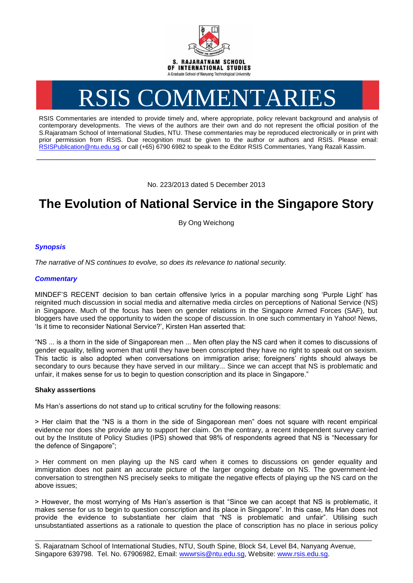

# RSIS COMMENTARIES

RSIS Commentaries are intended to provide timely and, where appropriate, policy relevant background and analysis of contemporary developments. The views of the authors are their own and do not represent the official position of the S.Rajaratnam School of International Studies, NTU. These commentaries may be reproduced electronically or in print with prior permission from RSIS. Due recognition must be given to the author or authors and RSIS. Please email: [RSISPublication@ntu.edu.sg](mailto:RSISPublication@ntu.edu.sg) or call (+65) 6790 6982 to speak to the Editor RSIS Commentaries, Yang Razali Kassim.

No. 223/2013 dated 5 December 2013

**\_\_\_\_\_\_\_\_\_\_\_\_\_\_\_\_\_\_\_\_\_\_\_\_\_\_\_\_\_\_\_\_\_\_\_\_\_\_\_\_\_\_\_\_\_\_\_\_\_\_\_\_\_\_\_\_\_\_\_\_\_\_\_\_\_\_\_\_\_\_\_\_\_\_\_\_\_\_\_\_\_\_\_\_\_\_\_\_\_\_\_\_\_\_\_\_\_\_**

## **The Evolution of National Service in the Singapore Story**

By Ong Weichong

### *Synopsis*

*The narrative of NS continues to evolve, so does its relevance to national security.*

#### *Commentary*

MINDEF'S RECENT decision to ban certain offensive lyrics in a popular marching song 'Purple Light' has reignited much discussion in social media and alternative media circles on perceptions of National Service (NS) in Singapore. Much of the focus has been on gender relations in the Singapore Armed Forces (SAF), but bloggers have used the opportunity to widen the scope of discussion. In one such commentary in Yahoo! News, 'Is it time to reconsider National Service?', Kirsten Han asserted that:

"NS ... is a thorn in the side of Singaporean men ... Men often play the NS card when it comes to discussions of gender equality, telling women that until they have been conscripted they have no right to speak out on sexism. This tactic is also adopted when conversations on immigration arise; foreigners' rights should always be secondary to ours because they have served in our military... Since we can accept that NS is problematic and unfair, it makes sense for us to begin to question conscription and its place in Singapore."

#### **Shaky asssertions**

Ms Han's assertions do not stand up to critical scrutiny for the following reasons:

> Her claim that the "NS is a thorn in the side of Singaporean men" does not square with recent empirical evidence nor does she provide any to support her claim. On the contrary, a recent independent survey carried out by the Institute of Policy Studies (IPS) showed that 98% of respondents agreed that NS is "Necessary for the defence of Singapore";

> Her comment on men playing up the NS card when it comes to discussions on gender equality and immigration does not paint an accurate picture of the larger ongoing debate on NS. The government-led conversation to strengthen NS precisely seeks to mitigate the negative effects of playing up the NS card on the above issues;

> However, the most worrying of Ms Han's assertion is that "Since we can accept that NS is problematic, it makes sense for us to begin to question conscription and its place in Singapore". In this case, Ms Han does not provide the evidence to substantiate her claim that "NS is problematic and unfair". Utilising such unsubstantiated assertions as a rationale to question the place of conscription has no place in serious policy

\_\_\_\_\_\_\_\_\_\_\_\_\_\_\_\_\_\_\_\_\_\_\_\_\_\_\_\_\_\_\_\_\_\_\_\_\_\_\_\_\_\_\_\_\_\_\_\_\_\_\_\_\_\_\_\_\_\_\_\_\_\_\_\_\_\_\_\_\_\_\_\_\_\_\_\_\_\_\_\_\_

S. Rajaratnam School of International Studies, NTU, South Spine, Block S4, Level B4, Nanyang Avenue, Singapore 639798. Tel. No. 67906982, Email: wwwrsis@ntu.edu.sg, Website: www.rsis.edu.sg.